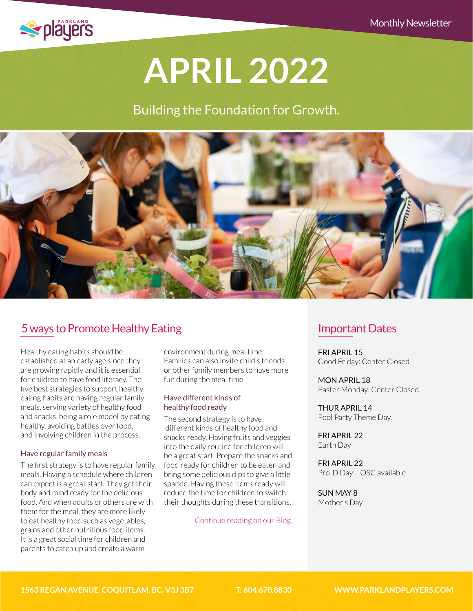

# **APRIL 2022**

# Building the Foundation for Growth.



# [5 ways to Promote Healthy Eating](http://parklandplayers.com/5-ways-to-promote-healthy-eating/)

Healthy eating habits should be established at an early age since they are growing rapidly and it is essential for children to have food literacy. The five best strategies to support healthy eating habits are having regular family meals, serving variety of healthy food and snacks, being a role model by eating healthy, avoiding battles over food, and involving children in the process.

#### Have regular family meals

The first strategy is to have regular family meals. Having a schedule where children can expect is a great start. They get their body and mind ready for the delicious food. And when adults or others are with them for the meal, they are more likely to eat healthy food such as vegetables, grains and other nutritious food items. It is a great social time for children and parents to catch up and create a warm

environment during meal time. Families can also invite child's friends or other family members to have more fun during the meal time.

#### Have different kinds of healthy food ready

The second strategy is to have different kinds of healthy food and snacks ready. Having fruits and veggies into the daily routine for children will be a great start. Prepare the snacks and food ready for children to be eaten and bring some delicious dips to give a little sparkle. Having these items ready will reduce the time for children to switch their thoughts during these transitions.

[Continue reading on our Blog.](http://parklandplayers.com/5-ways-to-promote-healthy-eating/)

## Important Dates

FRI APRIL 15 Good Friday: Center Closed

MON APRIL 18 Easter Monday: Center Closed.

THUR APRIL 14 Pool Party Theme Day.

FRI APRIL 22 Earth Day

FRI APRIL 22 Pro-D Day – OSC available

SUN MAY 8 Mother's Day